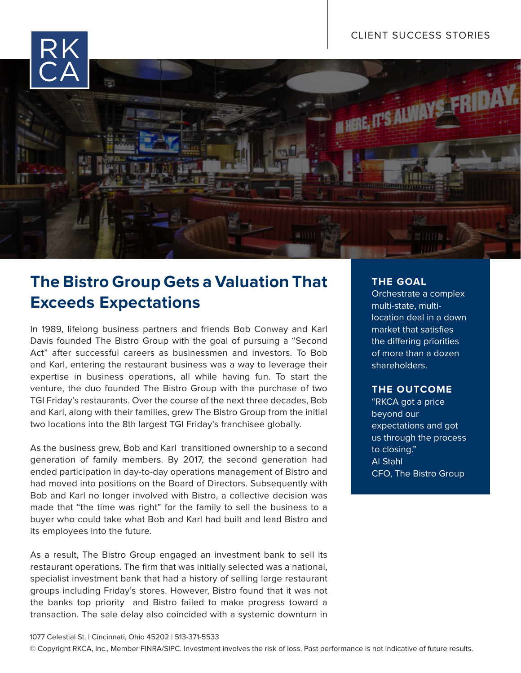

# **The Bistro Group Gets a Valuation That Exceeds Expectations**

In 1989, lifelong business partners and friends Bob Conway and Karl Davis founded The Bistro Group with the goal of pursuing a "Second Act" after successful careers as businessmen and investors. To Bob and Karl, entering the restaurant business was a way to leverage their expertise in business operations, all while having fun. To start the venture, the duo founded The Bistro Group with the purchase of two TGI Friday's restaurants. Over the course of the next three decades, Bob and Karl, along with their families, grew The Bistro Group from the initial two locations into the 8th largest TGI Friday's franchisee globally.

As the business grew, Bob and Karl transitioned ownership to a second generation of family members. By 2017, the second generation had ended participation in day-to-day operations management of Bistro and had moved into positions on the Board of Directors. Subsequently with Bob and Karl no longer involved with Bistro, a collective decision was made that "the time was right" for the family to sell the business to a buyer who could take what Bob and Karl had built and lead Bistro and its employees into the future.

As a result, The Bistro Group engaged an investment bank to sell its restaurant operations. The firm that was initially selected was a national, specialist investment bank that had a history of selling large restaurant groups including Friday's stores. However, Bistro found that it was not the banks top priority and Bistro failed to make progress toward a transaction. The sale delay also coincided with a systemic downturn in

## **THE GOAL**

Orchestrate a complex multi-state, multilocation deal in a down market that satisfies the differing priorities of more than a dozen shareholders.

### **THE OUTCOME**

"RKCA got a price beyond our expectations and got us through the process to closing." Al Stahl CFO, The Bistro Group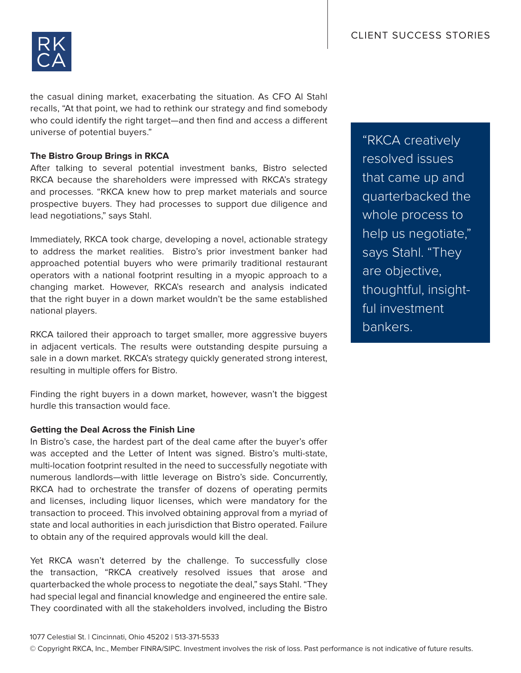

the casual dining market, exacerbating the situation. As CFO Al Stahl recalls, "At that point, we had to rethink our strategy and find somebody who could identify the right target—and then find and access a different universe of potential buyers."

#### **The Bistro Group Brings in RKCA**

After talking to several potential investment banks, Bistro selected RKCA because the shareholders were impressed with RKCA's strategy and processes. "RKCA knew how to prep market materials and source prospective buyers. They had processes to support due diligence and lead negotiations," says Stahl.

Immediately, RKCA took charge, developing a novel, actionable strategy to address the market realities. Bistro's prior investment banker had approached potential buyers who were primarily traditional restaurant operators with a national footprint resulting in a myopic approach to a changing market. However, RKCA's research and analysis indicated that the right buyer in a down market wouldn't be the same established national players.

RKCA tailored their approach to target smaller, more aggressive buyers in adjacent verticals. The results were outstanding despite pursuing a sale in a down market. RKCA's strategy quickly generated strong interest, resulting in multiple offers for Bistro.

Finding the right buyers in a down market, however, wasn't the biggest hurdle this transaction would face.

#### **Getting the Deal Across the Finish Line**

In Bistro's case, the hardest part of the deal came after the buyer's offer was accepted and the Letter of Intent was signed. Bistro's multi-state, multi-location footprint resulted in the need to successfully negotiate with numerous landlords—with little leverage on Bistro's side. Concurrently, RKCA had to orchestrate the transfer of dozens of operating permits and licenses, including liquor licenses, which were mandatory for the transaction to proceed. This involved obtaining approval from a myriad of state and local authorities in each jurisdiction that Bistro operated. Failure to obtain any of the required approvals would kill the deal.

Yet RKCA wasn't deterred by the challenge. To successfully close the transaction, "RKCA creatively resolved issues that arose and quarterbacked the whole process to negotiate the deal," says Stahl. "They had special legal and financial knowledge and engineered the entire sale. They coordinated with all the stakeholders involved, including the Bistro

"RKCA creatively resolved issues that came up and quarterbacked the whole process to help us negotiate," says Stahl. "They are objective, thoughtful, insightful investment bankers.